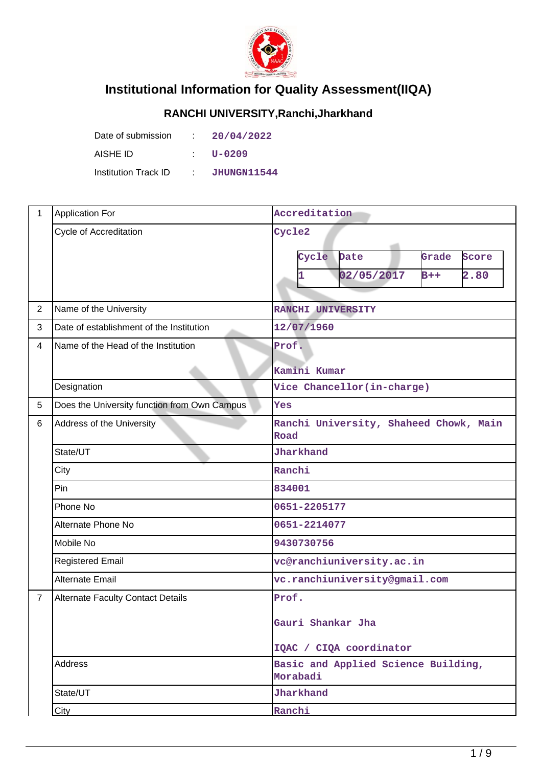

## **Institutional Information for Quality Assessment(IIQA)**

## **RANCHI UNIVERSITY,Ranchi,Jharkhand**

| Date of submission   | -100        | 20/04/2022  |
|----------------------|-------------|-------------|
| AISHE ID             |             | U-0209      |
| Institution Track ID | <b>STEP</b> | JHUNGN11544 |

| 1              | <b>Application For</b>                       | Accreditation                                                            |  |  |
|----------------|----------------------------------------------|--------------------------------------------------------------------------|--|--|
|                | Cycle of Accreditation                       | Cycle2<br>Grade<br>Cycle<br>Date<br>Score<br>2.80<br>02/05/2017<br>$B++$ |  |  |
| $\overline{2}$ | Name of the University                       | RANCHI UNIVERSITY                                                        |  |  |
| 3              | Date of establishment of the Institution     | 12/07/1960                                                               |  |  |
| $\overline{4}$ | Name of the Head of the Institution          | Prof.<br>Kamini Kumar                                                    |  |  |
|                | Designation                                  | Vice Chancellor(in-charge)                                               |  |  |
| 5              | Does the University function from Own Campus | Yes                                                                      |  |  |
| 6              | Address of the University                    | Ranchi University, Shaheed Chowk, Main<br>Road                           |  |  |
|                | State/UT                                     | Jharkhand                                                                |  |  |
|                | City                                         | Ranchi                                                                   |  |  |
|                | Pin                                          | 834001                                                                   |  |  |
|                | Phone No                                     | 0651-2205177                                                             |  |  |
|                | Alternate Phone No                           | 0651-2214077                                                             |  |  |
|                | Mobile No                                    | 9430730756                                                               |  |  |
|                | <b>Registered Email</b>                      | vc@ranchiuniversity.ac.in                                                |  |  |
|                | <b>Alternate Email</b>                       | vc.ranchiuniversity@gmail.com                                            |  |  |
| $\overline{7}$ | <b>Alternate Faculty Contact Details</b>     | Prof.<br>Gauri Shankar Jha<br>IQAC / CIQA coordinator                    |  |  |
|                | <b>Address</b>                               | Basic and Applied Science Building,<br>Morabadi                          |  |  |
|                | State/UT                                     | Jharkhand                                                                |  |  |
|                | City                                         | Ranchi                                                                   |  |  |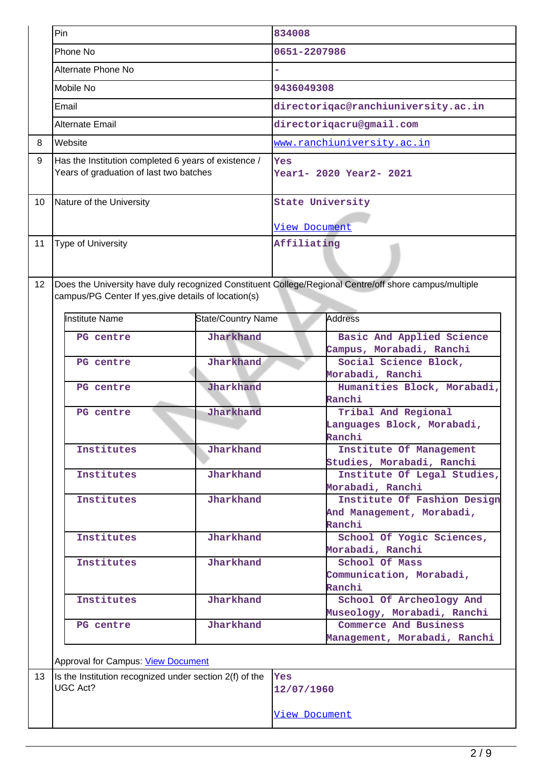|    | Pin                                                                                                                                                            |                           | 834008                     |                                     |
|----|----------------------------------------------------------------------------------------------------------------------------------------------------------------|---------------------------|----------------------------|-------------------------------------|
|    | Phone No                                                                                                                                                       |                           | 0651-2207986               |                                     |
|    | Alternate Phone No                                                                                                                                             |                           |                            |                                     |
|    | Mobile No                                                                                                                                                      |                           | 9436049308                 |                                     |
|    | Email                                                                                                                                                          |                           |                            | directoriqac@ranchiuniversity.ac.in |
|    | Alternate Email                                                                                                                                                |                           | directorigacru@gmail.com   |                                     |
| 8  | Website                                                                                                                                                        |                           | www.ranchiuniversity.ac.in |                                     |
| 9  | Has the Institution completed 6 years of existence /                                                                                                           |                           | Yes                        |                                     |
|    | Years of graduation of last two batches                                                                                                                        |                           | Year1- 2020 Year2- 2021    |                                     |
|    |                                                                                                                                                                |                           |                            |                                     |
| 10 | Nature of the University                                                                                                                                       |                           | <b>State University</b>    |                                     |
|    |                                                                                                                                                                |                           | View Document              |                                     |
| 11 | Type of University                                                                                                                                             |                           | Affiliating                |                                     |
|    |                                                                                                                                                                |                           |                            |                                     |
| 12 |                                                                                                                                                                |                           |                            |                                     |
|    | Does the University have duly recognized Constituent College/Regional Centre/off shore campus/multiple<br>campus/PG Center If yes, give details of location(s) |                           |                            |                                     |
|    |                                                                                                                                                                |                           |                            |                                     |
|    | <b>Institute Name</b>                                                                                                                                          | <b>State/Country Name</b> | <b>Address</b>             |                                     |
|    | PG centre                                                                                                                                                      | Jharkhand                 |                            | Basic And Applied Science           |
|    |                                                                                                                                                                |                           |                            | Campus, Morabadi, Ranchi            |
|    | PG centre                                                                                                                                                      | Jharkhand                 |                            | Social Science Block,               |
|    |                                                                                                                                                                | Jharkhand                 |                            | Morabadi, Ranchi                    |
|    | PG centre                                                                                                                                                      |                           | Ranchi                     | Humanities Block, Morabadi,         |
|    | PG centre                                                                                                                                                      | Jharkhand                 |                            | Tribal And Regional                 |
|    |                                                                                                                                                                |                           |                            | Languages Block, Morabadi,          |
|    |                                                                                                                                                                |                           | Ranchi                     |                                     |
|    | Institutes                                                                                                                                                     | Jharkhand                 |                            | Institute Of Management             |
|    |                                                                                                                                                                |                           |                            | Studies, Morabadi, Ranchi           |
|    | Institutes                                                                                                                                                     | Jharkhand                 |                            | Institute Of Legal Studies,         |
|    |                                                                                                                                                                |                           |                            | Morabadi, Ranchi                    |
|    | Institutes                                                                                                                                                     | Jharkhand                 |                            | Institute Of Fashion Design         |
|    |                                                                                                                                                                |                           |                            | And Management, Morabadi,           |
|    |                                                                                                                                                                |                           | Ranchi                     |                                     |
|    | <b>Institutes</b>                                                                                                                                              | Jharkhand                 |                            | School Of Yogic Sciences,           |
|    |                                                                                                                                                                |                           |                            | Morabadi, Ranchi                    |
|    | Institutes                                                                                                                                                     | Jharkhand                 |                            | School Of Mass                      |
|    |                                                                                                                                                                |                           | Ranchi                     | Communication, Morabadi,            |
|    | Institutes                                                                                                                                                     | Jharkhand                 |                            | School Of Archeology And            |
|    |                                                                                                                                                                |                           |                            | Museology, Morabadi, Ranchi         |
|    | PG centre                                                                                                                                                      | Jharkhand                 |                            | Commerce And Business               |
|    |                                                                                                                                                                |                           |                            | Management, Morabadi, Ranchi        |
|    |                                                                                                                                                                |                           |                            |                                     |
|    | Approval for Campus: View Document                                                                                                                             |                           |                            |                                     |
| 13 | Is the Institution recognized under section 2(f) of the<br>UGC Act?                                                                                            |                           | <b>Yes</b>                 |                                     |
|    |                                                                                                                                                                |                           | 12/07/1960                 |                                     |
|    |                                                                                                                                                                |                           | <u>View Document</u>       |                                     |
|    |                                                                                                                                                                |                           |                            |                                     |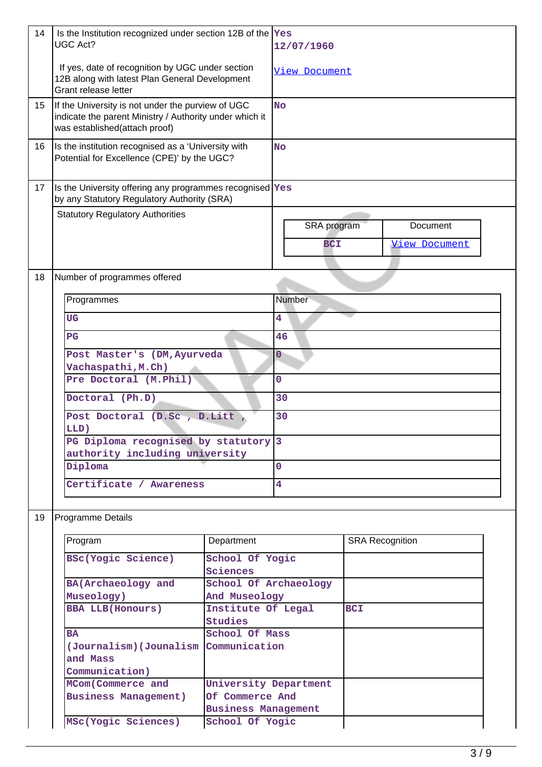| 14               | Is the Institution recognized under section 12B of the Yes<br><b>UGC Act?</b>                                                                 |                            | 12/07/1960              |            |                        |  |
|------------------|-----------------------------------------------------------------------------------------------------------------------------------------------|----------------------------|-------------------------|------------|------------------------|--|
|                  | If yes, date of recognition by UGC under section<br>12B along with latest Plan General Development<br>Grant release letter                    |                            | <b>View Document</b>    |            |                        |  |
| 15 <sub>15</sub> | If the University is not under the purview of UGC<br>indicate the parent Ministry / Authority under which it<br>was established(attach proof) |                            | <b>No</b>               |            |                        |  |
| 16               | Is the institution recognised as a 'University with<br>Potential for Excellence (CPE)' by the UGC?                                            |                            | <b>No</b>               |            |                        |  |
| 17               | Is the University offering any programmes recognised Yes<br>by any Statutory Regulatory Authority (SRA)                                       |                            |                         |            |                        |  |
|                  | <b>Statutory Regulatory Authorities</b>                                                                                                       |                            |                         |            |                        |  |
|                  |                                                                                                                                               |                            | SRA program             |            | Document               |  |
|                  |                                                                                                                                               |                            | <b>BCI</b>              |            | View Document          |  |
|                  |                                                                                                                                               |                            |                         |            |                        |  |
| 18               | Number of programmes offered                                                                                                                  |                            |                         |            |                        |  |
|                  | Programmes                                                                                                                                    |                            | Number                  |            |                        |  |
|                  | <b>UG</b>                                                                                                                                     |                            | 4                       |            |                        |  |
|                  | $_{\rm PG}$                                                                                                                                   |                            | 46                      |            |                        |  |
|                  |                                                                                                                                               |                            |                         |            |                        |  |
|                  | Post Master's (DM, Ayurveda                                                                                                                   |                            | 0                       |            |                        |  |
|                  | Vachaspathi, M.Ch)<br>Pre Doctoral (M.Phil)                                                                                                   |                            | 0                       |            |                        |  |
|                  |                                                                                                                                               |                            |                         |            |                        |  |
|                  | Doctoral (Ph.D)                                                                                                                               |                            | 30                      |            |                        |  |
|                  | Post Doctoral (D.Sc , D.Litt ,                                                                                                                |                            | 30                      |            |                        |  |
|                  | LLD)                                                                                                                                          |                            |                         |            |                        |  |
|                  | PG Diploma recognised by statutory 3<br>authority including university                                                                        |                            |                         |            |                        |  |
|                  | Diploma                                                                                                                                       |                            | $\overline{0}$          |            |                        |  |
|                  | Certificate / Awareness                                                                                                                       |                            | $\overline{\mathbf{4}}$ |            |                        |  |
|                  |                                                                                                                                               |                            |                         |            |                        |  |
| 19               | <b>Programme Details</b>                                                                                                                      |                            |                         |            |                        |  |
|                  | Program                                                                                                                                       | Department                 |                         |            | <b>SRA Recognition</b> |  |
|                  | BSc(Yogic Science)                                                                                                                            | School Of Yogic            |                         |            |                        |  |
|                  |                                                                                                                                               | Sciences                   |                         |            |                        |  |
|                  | BA(Archaeology and                                                                                                                            | School Of Archaeology      |                         |            |                        |  |
|                  | Museology)                                                                                                                                    | And Museology              |                         |            |                        |  |
|                  | <b>BBA LLB(Honours)</b>                                                                                                                       | Institute Of Legal         |                         | <b>BCI</b> |                        |  |
|                  | <b>BA</b>                                                                                                                                     | Studies<br>School Of Mass  |                         |            |                        |  |
|                  | (Journalism) (Jounalism Communication                                                                                                         |                            |                         |            |                        |  |
|                  | and Mass                                                                                                                                      |                            |                         |            |                        |  |
|                  | Communication)                                                                                                                                |                            |                         |            |                        |  |
|                  | MCom(Commerce and                                                                                                                             | University Department      |                         |            |                        |  |
|                  | <b>Business Management)</b>                                                                                                                   | Of Commerce And            |                         |            |                        |  |
|                  |                                                                                                                                               | <b>Business Management</b> |                         |            |                        |  |
|                  | MSc(Yogic Sciences)                                                                                                                           | School Of Yogic            |                         |            |                        |  |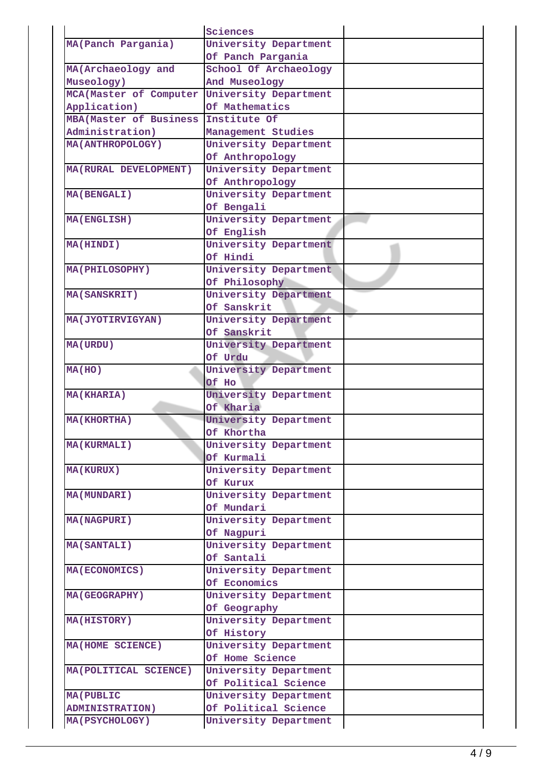|                               | Sciences              |  |
|-------------------------------|-----------------------|--|
| MA(Panch Pargania)            | University Department |  |
|                               | Of Panch Pargania     |  |
| MA (Archaeology and           | School Of Archaeology |  |
| Museology)                    | And Museology         |  |
| MCA (Master of Computer       | University Department |  |
| Application)                  | Of Mathematics        |  |
| <b>MBA(Master of Business</b> | Institute Of          |  |
| Administration)               | Management Studies    |  |
| <b>MA(ANTHROPOLOGY)</b>       | University Department |  |
|                               |                       |  |
|                               | Of Anthropology       |  |
| MA (RURAL DEVELOPMENT)        | University Department |  |
|                               | Of Anthropology       |  |
| <b>MA(BENGALI)</b>            | University Department |  |
|                               | Of Bengali            |  |
| <b>MA(ENGLISH)</b>            | University Department |  |
|                               | Of English            |  |
| <b>MA(HINDI)</b>              | University Department |  |
|                               | Of Hindi              |  |
| <b>MA(PHILOSOPHY)</b>         | University Department |  |
|                               | Of Philosophy         |  |
| <b>MA(SANSKRIT)</b>           | University Department |  |
|                               | Of Sanskrit           |  |
| MA (JYOTIRVIGYAN)             | University Department |  |
|                               | Of Sanskrit           |  |
| <b>MA(URDU)</b>               | University Department |  |
|                               | Of Urdu               |  |
| MA(HO)                        | University Department |  |
|                               | Of Ho                 |  |
| <b>MA(KHARIA)</b>             | University Department |  |
|                               | Of Kharia             |  |
| <b>MA(KHORTHA)</b>            | University Department |  |
|                               | Of Khortha            |  |
| <b>MA(KURMALI)</b>            | University Department |  |
|                               | Of Kurmali            |  |
| <b>MA(KURUX)</b>              | University Department |  |
|                               | Of Kurux              |  |
| <b>MA(MUNDARI)</b>            | University Department |  |
|                               | Of Mundari            |  |
| <b>MA(NAGPURI)</b>            | University Department |  |
|                               | Of Nagpuri            |  |
| <b>MA(SANTALI)</b>            | University Department |  |
|                               | Of Santali            |  |
| <b>MA(ECONOMICS)</b>          | University Department |  |
|                               | Of Economics          |  |
|                               |                       |  |
| <b>MA(GEOGRAPHY)</b>          | University Department |  |
|                               | Of Geography          |  |
| <b>MA(HISTORY)</b>            | University Department |  |
|                               | Of History            |  |
| MA(HOME SCIENCE)              | University Department |  |
|                               | Of Home Science       |  |
| MA (POLITICAL SCIENCE)        | University Department |  |
|                               | Of Political Science  |  |
| <b>MA (PUBLIC</b>             | University Department |  |
| <b>ADMINISTRATION)</b>        | Of Political Science  |  |
| <b>MA(PSYCHOLOGY)</b>         | University Department |  |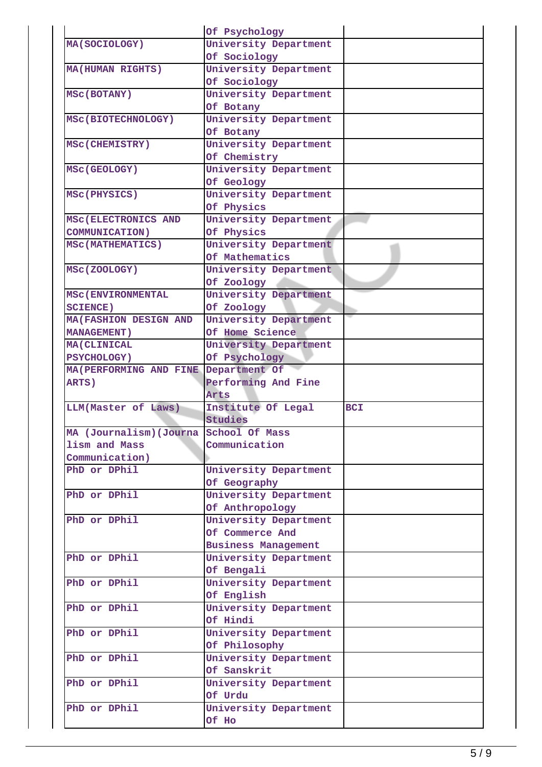|                                        | Of Psychology              |            |
|----------------------------------------|----------------------------|------------|
| <b>MA(SOCIOLOGY)</b>                   | University Department      |            |
|                                        | Of Sociology               |            |
| <b>MA(HUMAN RIGHTS)</b>                | University Department      |            |
|                                        | Of Sociology               |            |
| <b>MSC(BOTANY)</b>                     | University Department      |            |
|                                        | Of Botany                  |            |
| MSC(BIOTECHNOLOGY)                     | University Department      |            |
|                                        | Of Botany                  |            |
| <b>MSC(CHEMISTRY)</b>                  | University Department      |            |
|                                        | Of Chemistry               |            |
| <b>MSC(GEOLOGY)</b>                    | University Department      |            |
|                                        | Of Geology                 |            |
|                                        | University Department      |            |
| MSC(PHYSICS)                           |                            |            |
|                                        | Of Physics                 |            |
| MSC(ELECTRONICS AND                    | University Department      |            |
| <b>COMMUNICATION)</b>                  | Of Physics                 |            |
| <b>MSC(MATHEMATICS)</b>                | University Department      |            |
|                                        | Of Mathematics             |            |
| MSC(ZOOLOGY)                           | University Department      |            |
|                                        | Of Zoology                 |            |
| <b>MSC (ENVIRONMENTAL</b>              | University Department      |            |
| <b>SCIENCE)</b>                        | Of Zoology                 |            |
| <b>MA (FASHION DESIGN AND</b>          | University Department      |            |
| <b>MANAGEMENT)</b>                     | Of Home Science            |            |
| <b>MA (CLINICAL</b>                    | University Department      |            |
| <b>PSYCHOLOGY)</b>                     | Of Psychology              |            |
| MA (PERFORMING AND FINE                | Department Of              |            |
| ARTS)                                  | Performing And Fine        |            |
|                                        | Arts                       |            |
| LLM(Master of Laws)                    | Institute Of Legal         | <b>BCI</b> |
|                                        | Studies                    |            |
| MA (Journalism) (Journa School Of Mass |                            |            |
| lism and Mass                          | Communication              |            |
| Communication)                         |                            |            |
| PhD or DPhil                           | University Department      |            |
|                                        | Of Geography               |            |
| PhD or DPhil                           | University Department      |            |
|                                        | Of Anthropology            |            |
| PhD or DPhil                           | University Department      |            |
|                                        | Of Commerce And            |            |
|                                        | <b>Business Management</b> |            |
|                                        |                            |            |
| PhD or DPhil                           | University Department      |            |
|                                        | Of Bengali                 |            |
| PhD or DPhil                           | University Department      |            |
|                                        | Of English                 |            |
| PhD or DPhil                           | University Department      |            |
|                                        | Of Hindi                   |            |
| PhD or DPhil                           | University Department      |            |
|                                        | Of Philosophy              |            |
| PhD or DPhil                           | University Department      |            |
|                                        | Of Sanskrit                |            |
| PhD or DPhil                           | University Department      |            |
|                                        | Of Urdu                    |            |
| PhD or DPhil                           | University Department      |            |
|                                        |                            |            |
|                                        | Of Ho                      |            |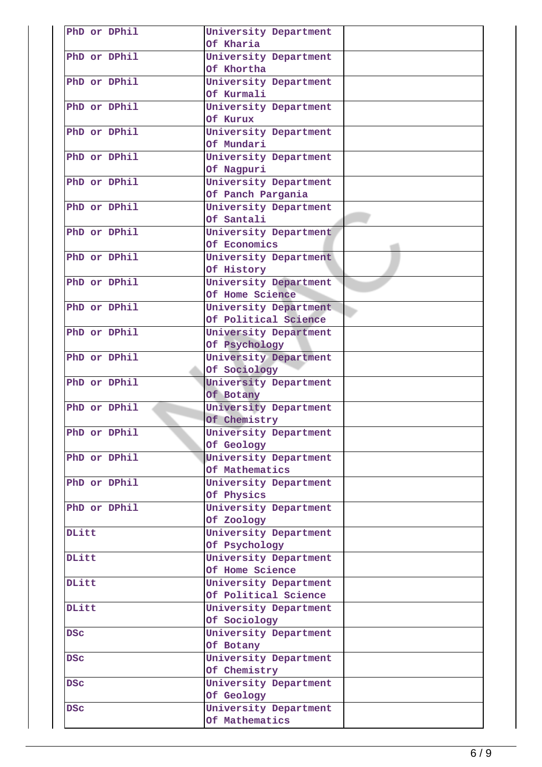| PhD or DPhil | University Department |  |
|--------------|-----------------------|--|
|              | Of Kharia             |  |
| PhD or DPhil | University Department |  |
|              | Of Khortha            |  |
| PhD or DPhil | University Department |  |
|              | Of Kurmali            |  |
| PhD or DPhil | University Department |  |
|              | Of Kurux              |  |
| PhD or DPhil | University Department |  |
|              | Of Mundari            |  |
| PhD or DPhil | University Department |  |
|              | Of Nagpuri            |  |
| PhD or DPhil | University Department |  |
|              | Of Panch Pargania     |  |
| PhD or DPhil | University Department |  |
|              | Of Santali            |  |
| PhD or DPhil | University Department |  |
|              | Of Economics          |  |
| PhD or DPhil | University Department |  |
|              | Of History            |  |
| PhD or DPhil | University Department |  |
|              | Of Home Science       |  |
| PhD or DPhil | University Department |  |
|              |                       |  |
| PhD or DPhil | Of Political Science  |  |
|              | University Department |  |
|              | Of Psychology         |  |
| PhD or DPhil | University Department |  |
|              | Of Sociology          |  |
| PhD or DPhil | University Department |  |
|              | Of Botany             |  |
| PhD or DPhil | University Department |  |
|              | Of Chemistry          |  |
| PhD or DPhil | University Department |  |
|              | Of Geology            |  |
| PhD or DPhil | University Department |  |
|              | Of Mathematics        |  |
| PhD or DPhil | University Department |  |
|              | Of Physics            |  |
| PhD or DPhil | University Department |  |
|              | Of Zoology            |  |
| DLitt        | University Department |  |
|              | Of Psychology         |  |
| <b>DLitt</b> | University Department |  |
|              | Of Home Science       |  |
| DLitt        | University Department |  |
|              | Of Political Science  |  |
| DLitt        | University Department |  |
|              | Of Sociology          |  |
|              |                       |  |
| <b>DSC</b>   | University Department |  |
|              | Of Botany             |  |
| <b>DSC</b>   | University Department |  |
|              | Of Chemistry          |  |
| <b>DSC</b>   | University Department |  |
|              | Of Geology            |  |
| <b>DSC</b>   | University Department |  |
|              | Of Mathematics        |  |
|              |                       |  |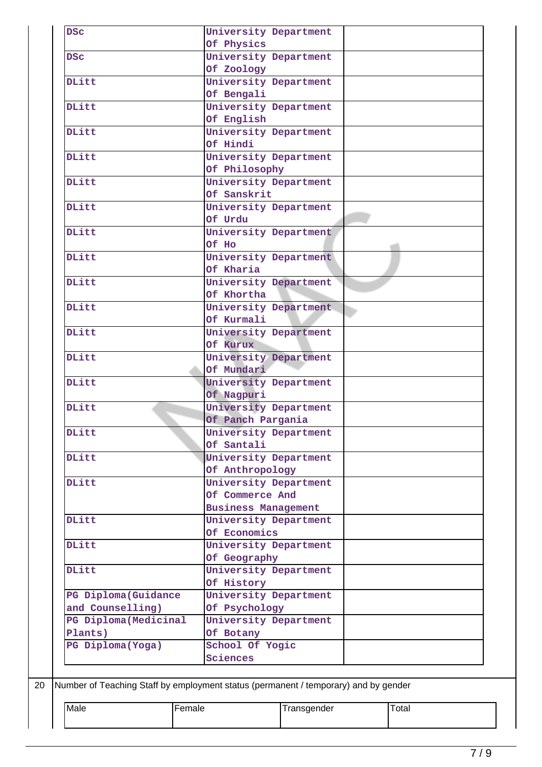| <b>DSC</b>                                                                          |                            | University Department |       |  |
|-------------------------------------------------------------------------------------|----------------------------|-----------------------|-------|--|
|                                                                                     | Of Physics                 |                       |       |  |
| <b>DSC</b>                                                                          |                            | University Department |       |  |
|                                                                                     | Of Zoology                 |                       |       |  |
| <b>DLitt</b>                                                                        |                            | University Department |       |  |
|                                                                                     | Of Bengali                 |                       |       |  |
| <b>DLitt</b>                                                                        |                            | University Department |       |  |
|                                                                                     | Of English                 |                       |       |  |
| DLitt                                                                               |                            | University Department |       |  |
|                                                                                     | Of Hindi                   |                       |       |  |
| <b>DLitt</b>                                                                        |                            | University Department |       |  |
|                                                                                     | Of Philosophy              |                       |       |  |
| DLitt                                                                               |                            | University Department |       |  |
|                                                                                     | Of Sanskrit                |                       |       |  |
| DLitt                                                                               |                            | University Department |       |  |
|                                                                                     | Of Urdu                    |                       |       |  |
| <b>DLitt</b>                                                                        |                            | University Department |       |  |
|                                                                                     | Of Ho                      |                       |       |  |
| DLitt                                                                               |                            | University Department |       |  |
|                                                                                     | Of Kharia                  |                       |       |  |
| DLitt                                                                               |                            |                       |       |  |
|                                                                                     | Of Khortha                 | University Department |       |  |
|                                                                                     |                            |                       |       |  |
| <b>DLitt</b>                                                                        |                            | University Department |       |  |
|                                                                                     | Of Kurmali                 |                       |       |  |
| DLitt                                                                               |                            | University Department |       |  |
|                                                                                     | Of Kurux                   |                       |       |  |
| <b>DLitt</b>                                                                        |                            | University Department |       |  |
|                                                                                     | Of Mundari                 |                       |       |  |
| <b>DLitt</b>                                                                        |                            | University Department |       |  |
|                                                                                     | Of Nagpuri                 |                       |       |  |
| DLitt                                                                               |                            | University Department |       |  |
|                                                                                     | Of Panch Pargania          |                       |       |  |
| DLitt                                                                               |                            | University Department |       |  |
|                                                                                     | Of Santali                 |                       |       |  |
| DLitt                                                                               |                            | University Department |       |  |
|                                                                                     | Of Anthropology            |                       |       |  |
| DLitt                                                                               |                            | University Department |       |  |
|                                                                                     | Of Commerce And            |                       |       |  |
|                                                                                     | <b>Business Management</b> |                       |       |  |
| <b>DLitt</b>                                                                        |                            | University Department |       |  |
|                                                                                     | Of Economics               |                       |       |  |
| DLitt                                                                               |                            | University Department |       |  |
|                                                                                     | Of Geography               |                       |       |  |
| DLitt                                                                               |                            | University Department |       |  |
|                                                                                     | Of History                 |                       |       |  |
| PG Diploma (Guidance                                                                |                            | University Department |       |  |
| and Counselling)                                                                    | Of Psychology              |                       |       |  |
| PG Diploma (Medicinal                                                               |                            | University Department |       |  |
| Plants)                                                                             | Of Botany                  |                       |       |  |
| PG Diploma (Yoga)                                                                   | School Of Yogic            |                       |       |  |
|                                                                                     | Sciences                   |                       |       |  |
|                                                                                     |                            |                       |       |  |
|                                                                                     |                            |                       |       |  |
|                                                                                     |                            |                       |       |  |
| Number of Teaching Staff by employment status (permanent / temporary) and by gender |                            |                       |       |  |
| Male                                                                                | Female                     | Transgender           | Total |  |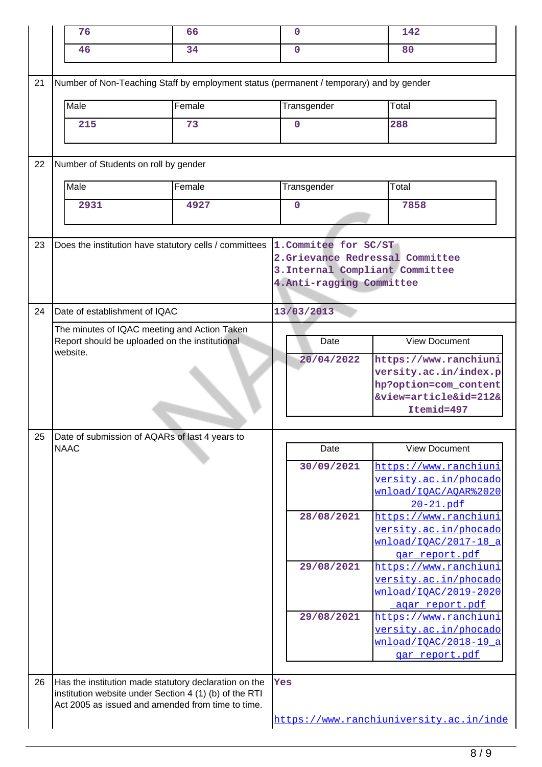|    | 76                                                                                                         | 66                                                                                                                                                                   | $\mathbf 0$                                        | 142                                                                                                                                    |
|----|------------------------------------------------------------------------------------------------------------|----------------------------------------------------------------------------------------------------------------------------------------------------------------------|----------------------------------------------------|----------------------------------------------------------------------------------------------------------------------------------------|
|    | 46                                                                                                         | 34                                                                                                                                                                   | $\Omega$                                           | 80                                                                                                                                     |
|    |                                                                                                            |                                                                                                                                                                      |                                                    |                                                                                                                                        |
| 21 |                                                                                                            | Number of Non-Teaching Staff by employment status (permanent / temporary) and by gender                                                                              |                                                    |                                                                                                                                        |
|    | Male                                                                                                       | Female                                                                                                                                                               | Transgender                                        | Total                                                                                                                                  |
|    | 215                                                                                                        | 73                                                                                                                                                                   | $\mathbf 0$                                        | 288                                                                                                                                    |
| 22 | Number of Students on roll by gender                                                                       |                                                                                                                                                                      |                                                    |                                                                                                                                        |
|    | Male                                                                                                       | Female                                                                                                                                                               | Transgender                                        | Total                                                                                                                                  |
|    | 2931                                                                                                       | 4927                                                                                                                                                                 | $\mathbf 0$                                        | 7858                                                                                                                                   |
| 23 |                                                                                                            | Does the institution have statutory cells / committees                                                                                                               | 1. Commitee for SC/ST<br>4. Anti-ragging Committee | 2.Grievance Redressal Committee<br>3. Internal Compliant Committee                                                                     |
| 24 | Date of establishment of IQAC                                                                              |                                                                                                                                                                      | 13/03/2013                                         |                                                                                                                                        |
|    | The minutes of IQAC meeting and Action Taken<br>Report should be uploaded on the institutional<br>website. |                                                                                                                                                                      | Date<br>20/04/2022                                 | <b>View Document</b><br>https://www.ranchiuni<br>versity.ac.in/index.p<br>hp?option=com_content<br>&view=article&id=212&<br>Itemid=497 |
|    |                                                                                                            |                                                                                                                                                                      |                                                    |                                                                                                                                        |
| 25 | <b>NAAC</b>                                                                                                | Date of submission of AQARs of last 4 years to                                                                                                                       | Date                                               | <b>View Document</b>                                                                                                                   |
|    |                                                                                                            |                                                                                                                                                                      | 30/09/2021                                         | https://www.ranchiuni<br>versity.ac.in/phocado<br>wnload/IQAC/AQAR%2020<br>20-21.pdf                                                   |
|    |                                                                                                            |                                                                                                                                                                      | 28/08/2021                                         | https://www.ranchiuni<br>versity.ac.in/phocado<br>wnload/IOAC/2017-18 a<br>gar_report.pdf                                              |
|    |                                                                                                            |                                                                                                                                                                      | 29/08/2021                                         | https://www.ranchiuni<br>versity.ac.in/phocado<br>wnload/IOAC/2019-2020<br>agar report.pdf                                             |
|    |                                                                                                            |                                                                                                                                                                      | 29/08/2021                                         | https://www.ranchiuni<br>versity.ac.in/phocado<br>wnload/IOAC/2018-19 a<br>gar report.pdf                                              |
| 26 |                                                                                                            | Has the institution made statutory declaration on the<br>institution website under Section 4 (1) (b) of the RTI<br>Act 2005 as issued and amended from time to time. | Yes                                                | https://www.ranchiuniversity.ac.in/inde                                                                                                |